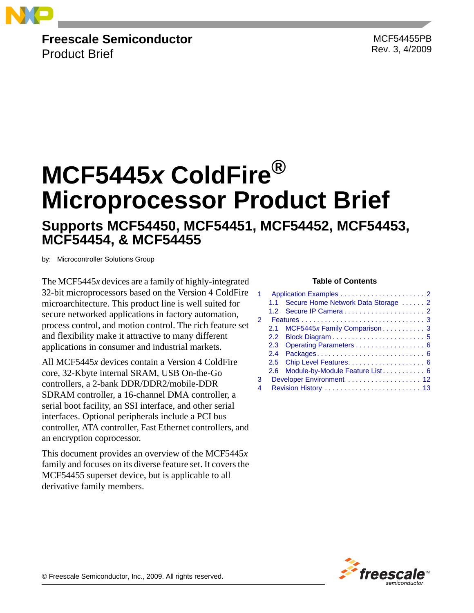

**Freescale Semiconductor**

Product Brief

MCF54455PB Rev. 3, 4/2009

# **MCF5445***x* **ColdFire® Microprocessor Product Brief**

### **Supports MCF54450, MCF54451, MCF54452, MCF54453, MCF54454, & MCF54455**

by: Microcontroller Solutions Group

The MCF5445*x* devices are a family of highly-integrated **Table of Contents** 32-bit microprocessors based on the Version 4 ColdFire microarchitecture. This product line is well suited for secure networked applications in factory automation, process control, and motion control. The rich feature set and flexibility make it attractive to many different applications in consumer and industrial markets.

All MCF5445*x* devices contain a Version 4 ColdFire core, 32-Kbyte internal SRAM, USB On-the-Go controllers, a 2-bank DDR/DDR2/mobile-DDR SDRAM controller, a 16-channel DMA controller, a serial boot facility, an SSI interface, and other serial interfaces. Optional peripherals include a PCI bus controller, ATA controller, Fast Ethernet controllers, and an encryption coprocessor.

This document provides an overview of the MCF5445*x* family and focuses on its diverse feature set. It covers the MCF54455 superset device, but is applicable to all derivative family members.

|               | 11      | Secure Home Network Data Storage  2 |  |  |  |  |
|---------------|---------|-------------------------------------|--|--|--|--|
|               |         |                                     |  |  |  |  |
| $\mathcal{P}$ |         |                                     |  |  |  |  |
|               | $2.1 -$ | MCF5445x Family Comparison 3        |  |  |  |  |
|               |         |                                     |  |  |  |  |
|               |         | 2.3 Operating Parameters 6          |  |  |  |  |
|               |         |                                     |  |  |  |  |
|               |         |                                     |  |  |  |  |
|               |         | 2.6 Module-by-Module Feature List 6 |  |  |  |  |
| 3             |         | Developer Environment  12           |  |  |  |  |
| 4             |         |                                     |  |  |  |  |



© Freescale Semiconductor, Inc., 2009. All rights reserved.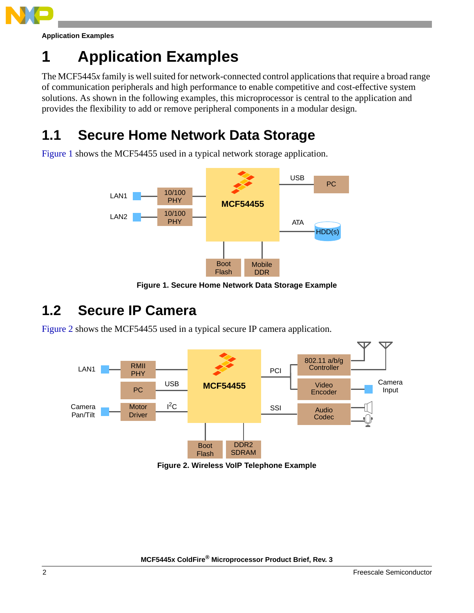

**Application Examples**

# <span id="page-1-0"></span>**1 Application Examples**

The MCF5445*x* family is well suited for network-connected control applications that require a broad range of communication peripherals and high performance to enable competitive and cost-effective system solutions. As shown in the following examples, this microprocessor is central to the application and provides the flexibility to add or remove peripheral components in a modular design.

# <span id="page-1-1"></span>**1.1 Secure Home Network Data Storage**

[Figure 1](#page-1-3) shows the MCF54455 used in a typical network storage application.



**Figure 1. Secure Home Network Data Storage Example**

### <span id="page-1-3"></span><span id="page-1-2"></span>**1.2 Secure IP Camera**

[Figure 2](#page-1-4) shows the MCF54455 used in a typical secure IP camera application.



<span id="page-1-4"></span>**Figure 2. Wireless VoIP Telephone Example**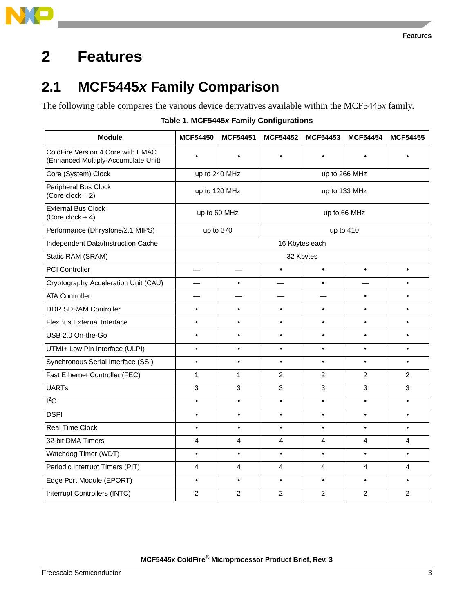

# <span id="page-2-1"></span><span id="page-2-0"></span>**2.1 MCF5445***x* **Family Comparison**

The following table compares the various device derivatives available within the MCF5445*x* family.

|  | Table 1. MCF5445x Family Configurations |  |
|--|-----------------------------------------|--|
|--|-----------------------------------------|--|

| <b>Module</b>                                                            | <b>MCF54450</b> | <b>MCF54451</b> | <b>MCF54452</b> | <b>MCF54453</b> | <b>MCF54454</b> | <b>MCF54455</b> |
|--------------------------------------------------------------------------|-----------------|-----------------|-----------------|-----------------|-----------------|-----------------|
| ColdFire Version 4 Core with EMAC<br>(Enhanced Multiply-Accumulate Unit) | $\bullet$       |                 |                 | $\bullet$       |                 |                 |
| Core (System) Clock                                                      | up to 240 MHz   |                 | up to 266 MHz   |                 |                 |                 |
| Peripheral Bus Clock<br>(Core clock $\div$ 2)                            | up to 120 MHz   |                 | up to 133 MHz   |                 |                 |                 |
| <b>External Bus Clock</b><br>(Core clock $\div$ 4)                       | up to 60 MHz    |                 | up to 66 MHz    |                 |                 |                 |
| Performance (Dhrystone/2.1 MIPS)                                         | up to 370       |                 | up to 410       |                 |                 |                 |
| Independent Data/Instruction Cache                                       |                 |                 |                 | 16 Kbytes each  |                 |                 |
| Static RAM (SRAM)                                                        | 32 Kbytes       |                 |                 |                 |                 |                 |
| <b>PCI Controller</b>                                                    |                 |                 | $\bullet$       | $\bullet$       | $\bullet$       | $\bullet$       |
| Cryptography Acceleration Unit (CAU)                                     |                 | $\bullet$       |                 | $\bullet$       |                 | $\bullet$       |
| <b>ATA Controller</b>                                                    |                 |                 |                 |                 | $\bullet$       | $\bullet$       |
| <b>DDR SDRAM Controller</b>                                              | $\bullet$       | $\bullet$       | $\bullet$       | $\bullet$       | $\bullet$       | $\bullet$       |
| <b>FlexBus External Interface</b>                                        | $\bullet$       | $\bullet$       | $\bullet$       | $\bullet$       | $\bullet$       | $\bullet$       |
| USB 2.0 On-the-Go                                                        | $\bullet$       | $\bullet$       | $\bullet$       | $\bullet$       | $\bullet$       | $\bullet$       |
| UTMI+ Low Pin Interface (ULPI)                                           | $\bullet$       | $\bullet$       | $\bullet$       | $\bullet$       | $\bullet$       | $\bullet$       |
| Synchronous Serial Interface (SSI)                                       | $\bullet$       | $\bullet$       | $\bullet$       | $\bullet$       | $\bullet$       | $\bullet$       |
| Fast Ethernet Controller (FEC)                                           | 1               | 1               | $\overline{2}$  | $\overline{2}$  | $\overline{2}$  | $\overline{2}$  |
| <b>UARTs</b>                                                             | 3               | 3               | 3               | 3               | $\mathbf{3}$    | 3               |
| $I^2C$                                                                   | $\bullet$       | $\bullet$       | $\bullet$       | $\bullet$       | $\bullet$       | $\bullet$       |
| <b>DSPI</b>                                                              |                 | $\bullet$       | $\bullet$       | $\bullet$       | $\bullet$       | $\bullet$       |
| <b>Real Time Clock</b>                                                   | $\bullet$       | $\bullet$       | $\bullet$       | $\bullet$       | $\bullet$       | $\bullet$       |
| 32-bit DMA Timers                                                        | 4               | 4               | 4               | 4               | $\overline{4}$  | 4               |
| Watchdog Timer (WDT)                                                     |                 | $\bullet$       | $\bullet$       | $\bullet$       | $\bullet$       | $\bullet$       |
| Periodic Interrupt Timers (PIT)                                          | 4               | 4               | 4               | 4               | 4               | 4               |
| Edge Port Module (EPORT)                                                 | $\bullet$       | $\bullet$       | $\bullet$       | $\bullet$       | $\bullet$       | $\bullet$       |
| Interrupt Controllers (INTC)                                             | $\overline{2}$  | $\overline{2}$  | $\overline{2}$  | $\overline{2}$  | $\overline{2}$  | $\overline{2}$  |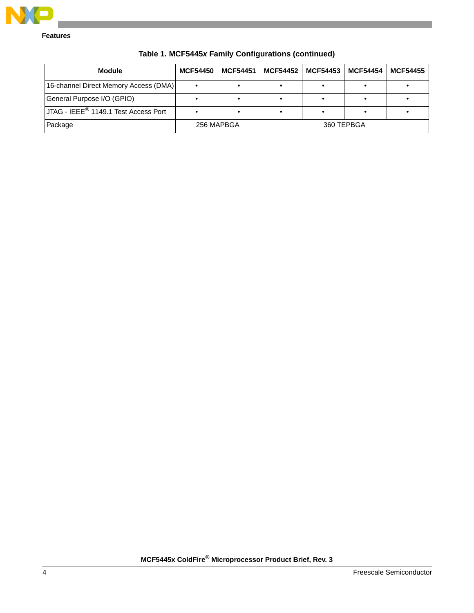

| <b>Module</b>                           | <b>MCF54450</b> | <b>MCF54451</b> | <b>MCF54452</b> | <b>MCF54453</b> | <b>MCF54454</b> | <b>MCF54455</b> |
|-----------------------------------------|-----------------|-----------------|-----------------|-----------------|-----------------|-----------------|
| [16-channel Direct Memory Access (DMA)] |                 |                 |                 |                 |                 |                 |
| General Purpose I/O (GPIO)              |                 |                 |                 |                 |                 |                 |
| JJTAG - IEEE® 1149.1 Test Access Port   |                 |                 |                 |                 |                 |                 |
| Package                                 | 256 MAPBGA      |                 | 360 TEPBGA      |                 |                 |                 |

**Table 1. MCF5445***x* **Family Configurations (continued)**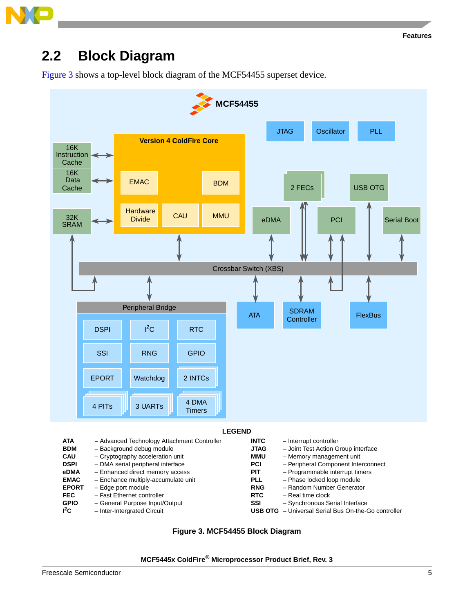### <span id="page-4-0"></span>**2.2 Block Diagram**

[Figure 3](#page-4-1) shows a top-level block diagram of the MCF54455 superset device.



<span id="page-4-1"></span>

| <b>ATA</b>   | - Advanced Technology Attachment Controller | <b>INTC</b> | - Interrupt controller                                     |
|--------------|---------------------------------------------|-------------|------------------------------------------------------------|
| <b>BDM</b>   | - Background debug module                   | <b>JTAG</b> | - Joint Test Action Group interface                        |
| <b>CAU</b>   | - Cryptography acceleration unit            | MMU         | - Memory management unit                                   |
| <b>DSPI</b>  | - DMA serial peripheral interface           | <b>PCI</b>  | - Peripheral Component Interconnect                        |
| eDMA         | - Enhanced direct memory access             | <b>PIT</b>  | - Programmable interrupt timers                            |
| <b>EMAC</b>  | - Enchance multiply-accumulate unit         | <b>PLL</b>  | - Phase locked loop module                                 |
| <b>EPORT</b> | - Edge port module                          | <b>RNG</b>  | - Random Number Generator                                  |
| <b>FEC</b>   | - Fast Ethernet controller                  | <b>RTC</b>  | - Real time clock                                          |
| <b>GPIO</b>  | - General Purpose Input/Output              | <b>SSI</b>  | - Synchronous Serial Interface                             |
| $^{12}$ C    | - Inter-Intergrated Circuit                 |             | <b>USB OTG</b> - Universal Serial Bus On-the-Go controller |

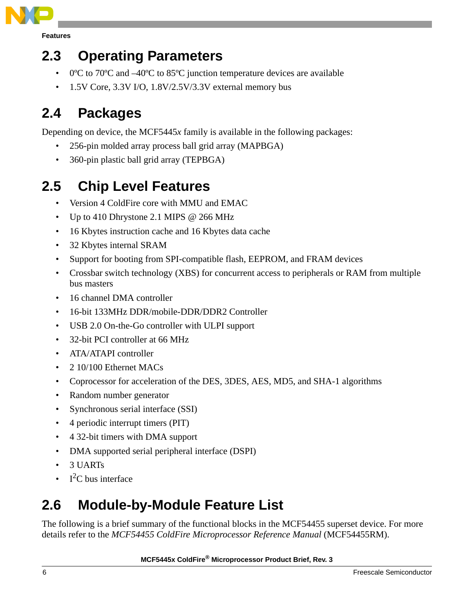

### <span id="page-5-0"></span>**2.3 Operating Parameters**

- 0°C to 70°C and –40°C to 85°C junction temperature devices are available
- 1.5V Core, 3.3V I/O, 1.8V/2.5V/3.3V external memory bus

# <span id="page-5-1"></span>**2.4 Packages**

Depending on device, the MCF5445*x* family is available in the following packages:

- 256-pin molded array process ball grid array (MAPBGA)
- 360-pin plastic ball grid array (TEPBGA)

# <span id="page-5-2"></span>**2.5 Chip Level Features**

- Version 4 ColdFire core with MMU and EMAC
- Up to 410 Dhrystone 2.1 MIPS @ 266 MHz
- 16 Kbytes instruction cache and 16 Kbytes data cache
- 32 Kbytes internal SRAM
- Support for booting from SPI-compatible flash, EEPROM, and FRAM devices
- Crossbar switch technology (XBS) for concurrent access to peripherals or RAM from multiple bus masters
- 16 channel DMA controller
- 16-bit 133MHz DDR/mobile-DDR/DDR2 Controller
- USB 2.0 On-the-Go controller with ULPI support
- 32-bit PCI controller at 66 MHz
- ATA/ATAPI controller
- 2 10/100 Ethernet MACs
- Coprocessor for acceleration of the DES, 3DES, AES, MD5, and SHA-1 algorithms
- Random number generator
- Synchronous serial interface (SSI)
- 4 periodic interrupt timers (PIT)
- 4 32-bit timers with DMA support
- DMA supported serial peripheral interface (DSPI)
- 3 UARTs
- $I^2C$  bus interface

# <span id="page-5-3"></span>**2.6 Module-by-Module Feature List**

The following is a brief summary of the functional blocks in the MCF54455 superset device. For more details refer to the *MCF54455 ColdFire Microprocessor Reference Manual* (MCF54455RM).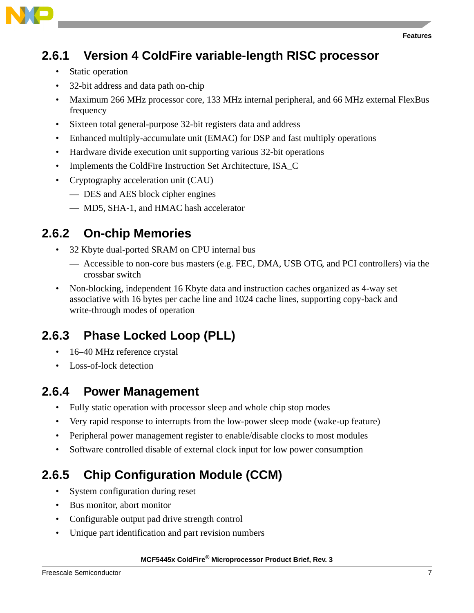

### **2.6.1 Version 4 ColdFire variable-length RISC processor**

- Static operation
- 32-bit address and data path on-chip
- Maximum 266 MHz processor core, 133 MHz internal peripheral, and 66 MHz external FlexBus frequency
- Sixteen total general-purpose 32-bit registers data and address
- Enhanced multiply-accumulate unit (EMAC) for DSP and fast multiply operations
- Hardware divide execution unit supporting various 32-bit operations
- Implements the ColdFire Instruction Set Architecture, ISA\_C
- Cryptography acceleration unit (CAU)
	- DES and AES block cipher engines
	- MD5, SHA-1, and HMAC hash accelerator

#### **2.6.2 On-chip Memories**

- 32 Kbyte dual-ported SRAM on CPU internal bus
	- Accessible to non-core bus masters (e.g. FEC, DMA, USB OTG, and PCI controllers) via the crossbar switch
- Non-blocking, independent 16 Kbyte data and instruction caches organized as 4-way set associative with 16 bytes per cache line and 1024 cache lines, supporting copy-back and write-through modes of operation

### **2.6.3 Phase Locked Loop (PLL)**

- 16–40 MHz reference crystal
- Loss-of-lock detection

#### **2.6.4 Power Management**

- Fully static operation with processor sleep and whole chip stop modes
- Very rapid response to interrupts from the low-power sleep mode (wake-up feature)
- Peripheral power management register to enable/disable clocks to most modules
- Software controlled disable of external clock input for low power consumption

### **2.6.5 Chip Configuration Module (CCM)**

- System configuration during reset
- Bus monitor, abort monitor
- Configurable output pad drive strength control
- Unique part identification and part revision numbers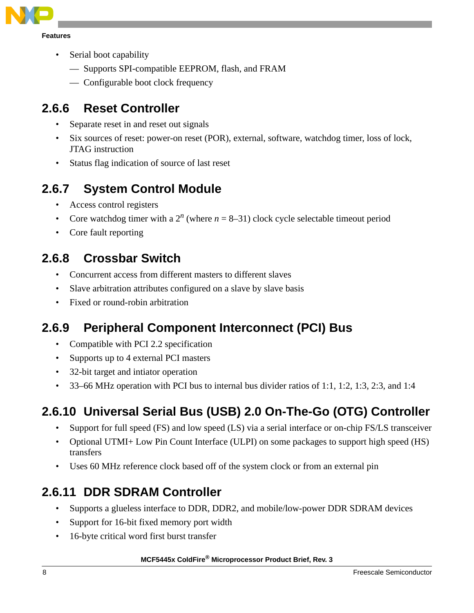

- Serial boot capability
	- Supports SPI-compatible EEPROM, flash, and FRAM
	- Configurable boot clock frequency

#### **2.6.6 Reset Controller**

- Separate reset in and reset out signals
- Six sources of reset: power-on reset (POR), external, software, watchdog timer, loss of lock, JTAG instruction
- Status flag indication of source of last reset

### **2.6.7 System Control Module**

- Access control registers
- Core watchdog timer with a  $2^n$  (where  $n = 8-31$ ) clock cycle selectable timeout period
- Core fault reporting

### **2.6.8 Crossbar Switch**

- Concurrent access from different masters to different slaves
- Slave arbitration attributes configured on a slave by slave basis
- Fixed or round-robin arbitration

### **2.6.9 Peripheral Component Interconnect (PCI) Bus**

- Compatible with PCI 2.2 specification
- Supports up to 4 external PCI masters
- 32-bit target and intiator operation
- 33–66 MHz operation with PCI bus to internal bus divider ratios of 1:1, 1:2, 1:3, 2:3, and 1:4

### **2.6.10 Universal Serial Bus (USB) 2.0 On-The-Go (OTG) Controller**

- Support for full speed (FS) and low speed (LS) via a serial interface or on-chip FS/LS transceiver
- Optional UTMI+ Low Pin Count Interface (ULPI) on some packages to support high speed (HS) transfers
- Uses 60 MHz reference clock based off of the system clock or from an external pin

### **2.6.11 DDR SDRAM Controller**

- Supports a glueless interface to DDR, DDR2, and mobile/low-power DDR SDRAM devices
- Support for 16-bit fixed memory port width
- 16-byte critical word first burst transfer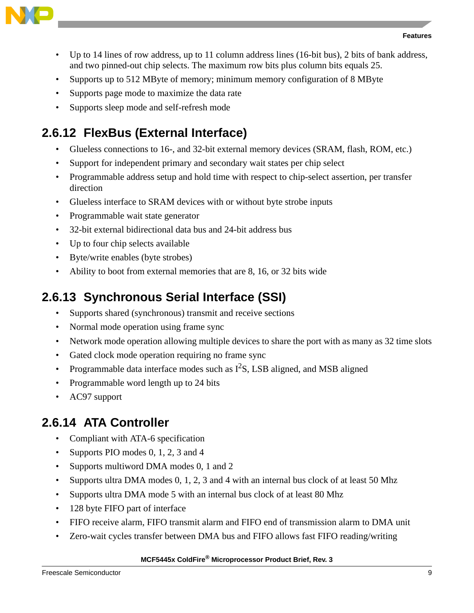

- Up to 14 lines of row address, up to 11 column address lines (16-bit bus), 2 bits of bank address, and two pinned-out chip selects. The maximum row bits plus column bits equals 25.
- Supports up to 512 MByte of memory; minimum memory configuration of 8 MByte
- Supports page mode to maximize the data rate
- Supports sleep mode and self-refresh mode

### **2.6.12 FlexBus (External Interface)**

- Glueless connections to 16-, and 32-bit external memory devices (SRAM, flash, ROM, etc.)
- Support for independent primary and secondary wait states per chip select
- Programmable address setup and hold time with respect to chip-select assertion, per transfer direction
- Glueless interface to SRAM devices with or without byte strobe inputs
- Programmable wait state generator
- 32-bit external bidirectional data bus and 24-bit address bus
- Up to four chip selects available
- Byte/write enables (byte strobes)
- Ability to boot from external memories that are 8, 16, or 32 bits wide

### **2.6.13 Synchronous Serial Interface (SSI)**

- Supports shared (synchronous) transmit and receive sections
- Normal mode operation using frame sync
- Network mode operation allowing multiple devices to share the port with as many as 32 time slots
- Gated clock mode operation requiring no frame sync
- Programmable data interface modes such as  $I^2S$ , LSB aligned, and MSB aligned
- Programmable word length up to 24 bits
- AC97 support

#### **2.6.14 ATA Controller**

- Compliant with ATA-6 specification
- Supports PIO modes 0, 1, 2, 3 and 4
- Supports multiword DMA modes 0, 1 and 2
- Supports ultra DMA modes 0, 1, 2, 3 and 4 with an internal bus clock of at least 50 Mhz
- Supports ultra DMA mode 5 with an internal bus clock of at least 80 Mhz
- 128 byte FIFO part of interface
- FIFO receive alarm, FIFO transmit alarm and FIFO end of transmission alarm to DMA unit
- Zero-wait cycles transfer between DMA bus and FIFO allows fast FIFO reading/writing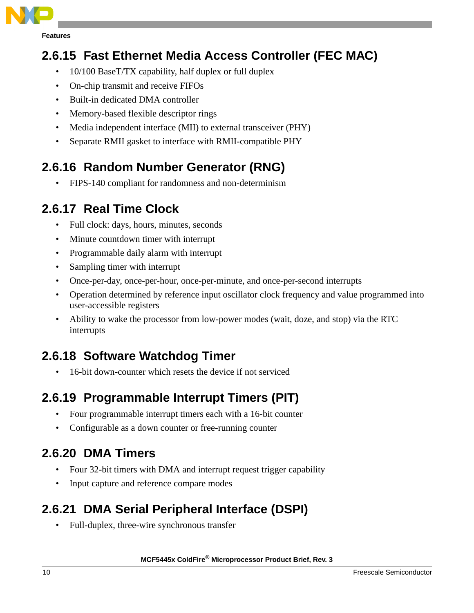

### **2.6.15 Fast Ethernet Media Access Controller (FEC MAC)**

- 10/100 BaseT/TX capability, half duplex or full duplex
- On-chip transmit and receive FIFOs
- Built-in dedicated DMA controller
- Memory-based flexible descriptor rings
- Media independent interface (MII) to external transceiver (PHY)
- Separate RMII gasket to interface with RMII-compatible PHY

### **2.6.16 Random Number Generator (RNG)**

• FIPS-140 compliant for randomness and non-determinism

#### **2.6.17 Real Time Clock**

- Full clock: days, hours, minutes, seconds
- Minute countdown timer with interrupt
- Programmable daily alarm with interrupt
- Sampling timer with interrupt
- Once-per-day, once-per-hour, once-per-minute, and once-per-second interrupts
- Operation determined by reference input oscillator clock frequency and value programmed into user-accessible registers
- Ability to wake the processor from low-power modes (wait, doze, and stop) via the RTC interrupts

### **2.6.18 Software Watchdog Timer**

• 16-bit down-counter which resets the device if not serviced

### **2.6.19 Programmable Interrupt Timers (PIT)**

- Four programmable interrupt timers each with a 16-bit counter
- Configurable as a down counter or free-running counter

### **2.6.20 DMA Timers**

- Four 32-bit timers with DMA and interrupt request trigger capability
- Input capture and reference compare modes

### **2.6.21 DMA Serial Peripheral Interface (DSPI)**

• Full-duplex, three-wire synchronous transfer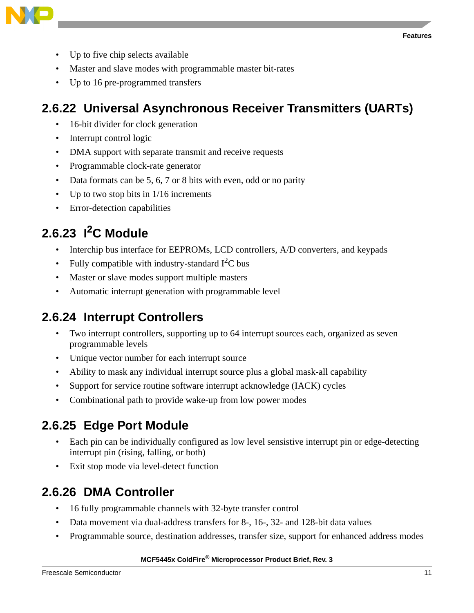

- Up to five chip selects available
- Master and slave modes with programmable master bit-rates
- Up to 16 pre-programmed transfers

### **2.6.22 Universal Asynchronous Receiver Transmitters (UARTs)**

- 16-bit divider for clock generation
- Interrupt control logic
- DMA support with separate transmit and receive requests
- Programmable clock-rate generator
- Data formats can be 5, 6, 7 or 8 bits with even, odd or no parity
- Up to two stop bits in 1/16 increments
- Error-detection capabilities

## **2.6.23 I2C Module**

- Interchip bus interface for EEPROMs, LCD controllers, A/D converters, and keypads
- Fully compatible with industry-standard  $I<sup>2</sup>C$  bus
- Master or slave modes support multiple masters
- Automatic interrupt generation with programmable level

#### **2.6.24 Interrupt Controllers**

- Two interrupt controllers, supporting up to 64 interrupt sources each, organized as seven programmable levels
- Unique vector number for each interrupt source
- Ability to mask any individual interrupt source plus a global mask-all capability
- Support for service routine software interrupt acknowledge (IACK) cycles
- Combinational path to provide wake-up from low power modes

### **2.6.25 Edge Port Module**

- Each pin can be individually configured as low level sensistive interrupt pin or edge-detecting interrupt pin (rising, falling, or both)
- Exit stop mode via level-detect function

### **2.6.26 DMA Controller**

- 16 fully programmable channels with 32-byte transfer control
- Data movement via dual-address transfers for 8-, 16-, 32- and 128-bit data values
- Programmable source, destination addresses, transfer size, support for enhanced address modes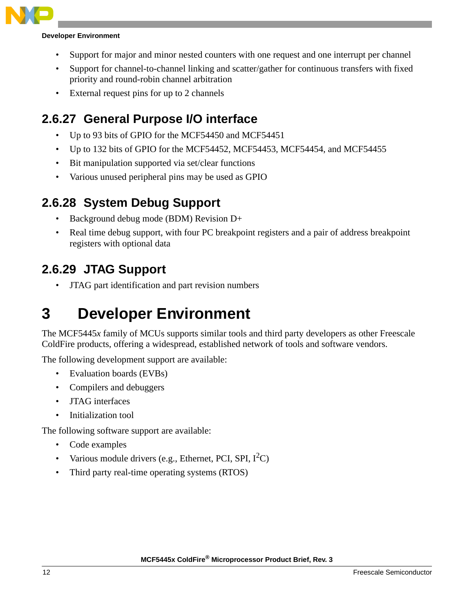

#### **Developer Environment**

- Support for major and minor nested counters with one request and one interrupt per channel
- Support for channel-to-channel linking and scatter/gather for continuous transfers with fixed priority and round-robin channel arbitration
- External request pins for up to 2 channels

#### **2.6.27 General Purpose I/O interface**

- Up to 93 bits of GPIO for the MCF54450 and MCF54451
- Up to 132 bits of GPIO for the MCF54452, MCF54453, MCF54454, and MCF54455
- Bit manipulation supported via set/clear functions
- Various unused peripheral pins may be used as GPIO

#### **2.6.28 System Debug Support**

- Background debug mode (BDM) Revision D+
- Real time debug support, with four PC breakpoint registers and a pair of address breakpoint registers with optional data

#### **2.6.29 JTAG Support**

• JTAG part identification and part revision numbers

# <span id="page-11-0"></span>**3 Developer Environment**

The MCF5445*x* family of MCUs supports similar tools and third party developers as other Freescale ColdFire products, offering a widespread, established network of tools and software vendors.

The following development support are available:

- Evaluation boards (EVBs)
- Compilers and debuggers
- JTAG interfaces
- Initialization tool

The following software support are available:

- Code examples
- Various module drivers (e.g., Ethernet, PCI, SPI,  $I^2C$ )
- Third party real-time operating systems (RTOS)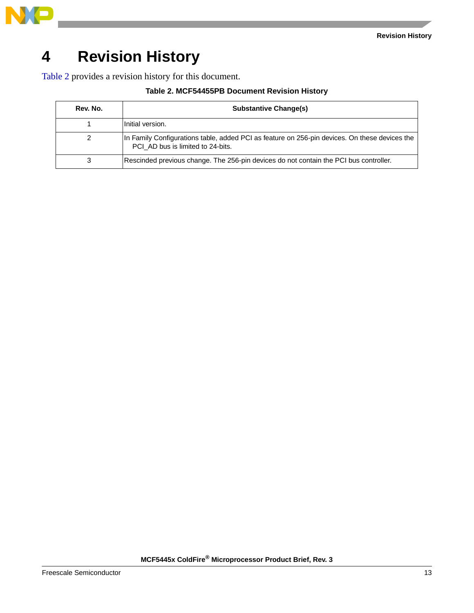

# <span id="page-12-0"></span>**4 Revision History**

<span id="page-12-1"></span>[Table 2](#page-12-1) provides a revision history for this document.

| Rev. No. | <b>Substantive Change(s)</b>                                                                                                       |  |  |  |
|----------|------------------------------------------------------------------------------------------------------------------------------------|--|--|--|
|          | Initial version.                                                                                                                   |  |  |  |
| 2        | In Family Configurations table, added PCI as feature on 256-pin devices. On these devices the<br>PCI_AD bus is limited to 24-bits. |  |  |  |
| 3        | Rescinded previous change. The 256-pin devices do not contain the PCI bus controller.                                              |  |  |  |

#### **Table 2. MCF54455PB Document Revision History**